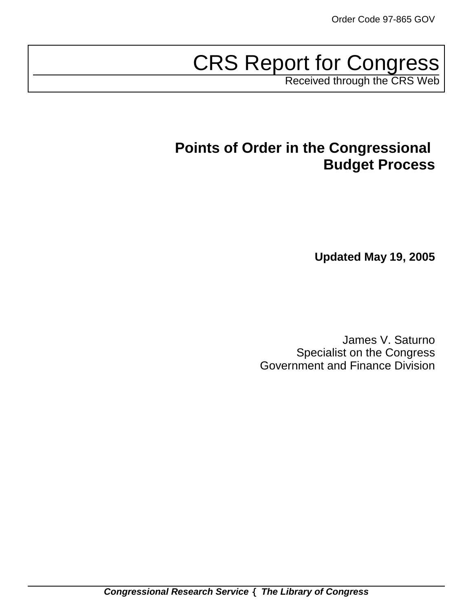# CRS Report for Congress

Received through the CRS Web

# **Points of Order in the Congressional Budget Process**

**Updated May 19, 2005**

James V. Saturno Specialist on the Congress Government and Finance Division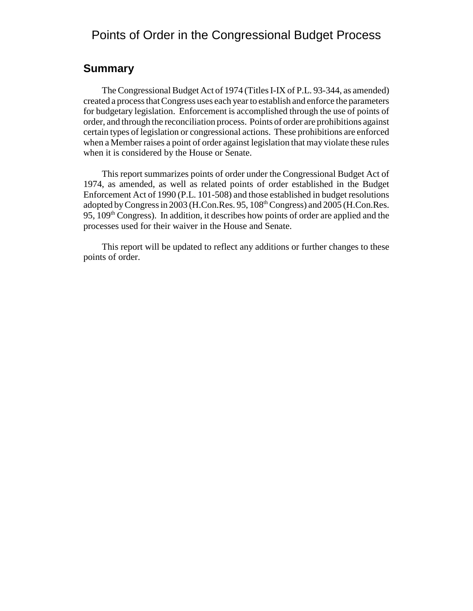## Points of Order in the Congressional Budget Process

#### **Summary**

The Congressional Budget Act of 1974 (Titles I-IX of P.L. 93-344, as amended) created a process that Congress uses each year to establish and enforce the parameters for budgetary legislation. Enforcement is accomplished through the use of points of order, and through the reconciliation process. Points of order are prohibitions against certain types of legislation or congressional actions. These prohibitions are enforced when a Member raises a point of order against legislation that may violate these rules when it is considered by the House or Senate.

This report summarizes points of order under the Congressional Budget Act of 1974, as amended, as well as related points of order established in the Budget Enforcement Act of 1990 (P.L. 101-508) and those established in budget resolutions adopted by Congress in 2003 (H.Con.Res. 95, 108<sup>th</sup> Congress) and 2005 (H.Con.Res. 95,  $109<sup>th</sup> Congress)$ . In addition, it describes how points of order are applied and the processes used for their waiver in the House and Senate.

This report will be updated to reflect any additions or further changes to these points of order.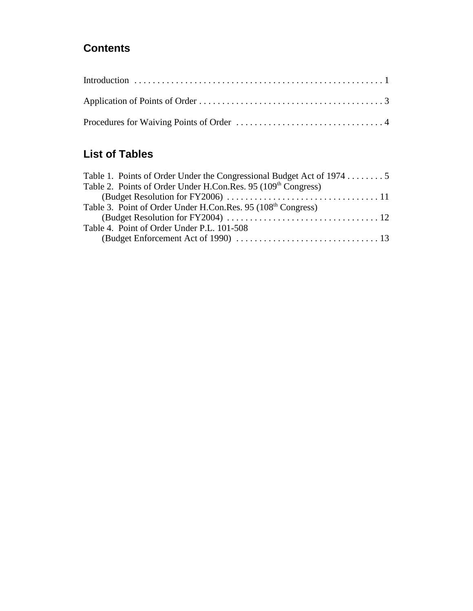## **Contents**

## **List of Tables**

| Table 1. Points of Order Under the Congressional Budget Act of 1974 5     |  |
|---------------------------------------------------------------------------|--|
| Table 2. Points of Order Under H.Con.Res. 95 (109 <sup>th</sup> Congress) |  |
|                                                                           |  |
| Table 3. Point of Order Under H.Con.Res. 95 (108 <sup>th</sup> Congress)  |  |
|                                                                           |  |
| Table 4. Point of Order Under P.L. 101-508                                |  |
|                                                                           |  |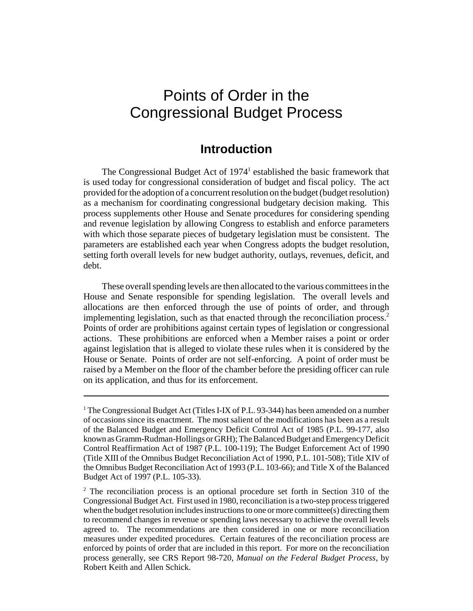## Points of Order in the Congressional Budget Process

#### **Introduction**

The Congressional Budget Act of  $1974<sup>1</sup>$  established the basic framework that is used today for congressional consideration of budget and fiscal policy. The act provided for the adoption of a concurrent resolution on the budget (budget resolution) as a mechanism for coordinating congressional budgetary decision making. This process supplements other House and Senate procedures for considering spending and revenue legislation by allowing Congress to establish and enforce parameters with which those separate pieces of budgetary legislation must be consistent. The parameters are established each year when Congress adopts the budget resolution, setting forth overall levels for new budget authority, outlays, revenues, deficit, and debt.

These overall spending levels are then allocated to the various committees in the House and Senate responsible for spending legislation. The overall levels and allocations are then enforced through the use of points of order, and through implementing legislation, such as that enacted through the reconciliation process.<sup>2</sup> Points of order are prohibitions against certain types of legislation or congressional actions. These prohibitions are enforced when a Member raises a point or order against legislation that is alleged to violate these rules when it is considered by the House or Senate. Points of order are not self-enforcing. A point of order must be raised by a Member on the floor of the chamber before the presiding officer can rule on its application, and thus for its enforcement.

<sup>&</sup>lt;sup>1</sup> The Congressional Budget Act (Titles I-IX of P.L. 93-344) has been amended on a number of occasions since its enactment. The most salient of the modifications has been as a result of the Balanced Budget and Emergency Deficit Control Act of 1985 (P.L. 99-177, also known as Gramm-Rudman-Hollings or GRH); The Balanced Budget and Emergency Deficit Control Reaffirmation Act of 1987 (P.L. 100-119); The Budget Enforcement Act of 1990 (Title XIII of the Omnibus Budget Reconciliation Act of 1990, P.L. 101-508); Title XIV of the Omnibus Budget Reconciliation Act of 1993 (P.L. 103-66); and Title X of the Balanced Budget Act of 1997 (P.L. 105-33).

<sup>&</sup>lt;sup>2</sup> The reconciliation process is an optional procedure set forth in Section 310 of the Congressional Budget Act. First used in 1980, reconciliation is a two-step process triggered when the budget resolution includes instructions to one or more committee(s) directing them to recommend changes in revenue or spending laws necessary to achieve the overall levels agreed to. The recommendations are then considered in one or more reconciliation measures under expedited procedures. Certain features of the reconciliation process are enforced by points of order that are included in this report. For more on the reconciliation process generally, see CRS Report 98-720, *Manual on the Federal Budget Process*, by Robert Keith and Allen Schick.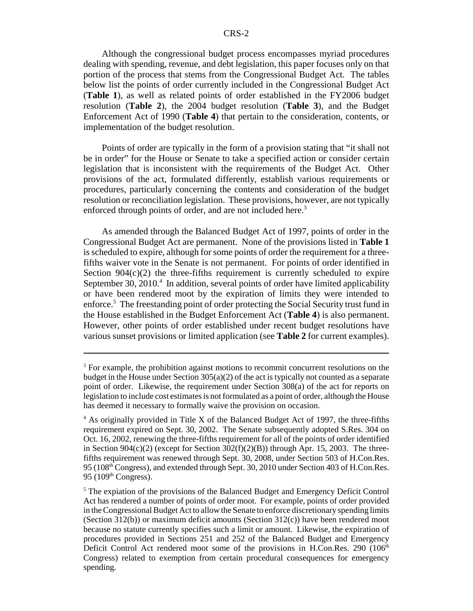Although the congressional budget process encompasses myriad procedures dealing with spending, revenue, and debt legislation, this paper focuses only on that portion of the process that stems from the Congressional Budget Act. The tables below list the points of order currently included in the Congressional Budget Act (**Table 1**), as well as related points of order established in the FY2006 budget resolution (**Table 2**), the 2004 budget resolution (**Table 3**), and the Budget Enforcement Act of 1990 (**Table 4**) that pertain to the consideration, contents, or implementation of the budget resolution.

Points of order are typically in the form of a provision stating that "it shall not be in order" for the House or Senate to take a specified action or consider certain legislation that is inconsistent with the requirements of the Budget Act. Other provisions of the act, formulated differently, establish various requirements or procedures, particularly concerning the contents and consideration of the budget resolution or reconciliation legislation. These provisions, however, are not typically enforced through points of order, and are not included here.<sup>3</sup>

As amended through the Balanced Budget Act of 1997, points of order in the Congressional Budget Act are permanent. None of the provisions listed in **Table 1** is scheduled to expire, although for some points of order the requirement for a threefifths waiver vote in the Senate is not permanent. For points of order identified in Section  $904(c)(2)$  the three-fifths requirement is currently scheduled to expire September 30, 2010.<sup>4</sup> In addition, several points of order have limited applicability or have been rendered moot by the expiration of limits they were intended to enforce.<sup>5</sup> The freestanding point of order protecting the Social Security trust fund in the House established in the Budget Enforcement Act (**Table 4**) is also permanent. However, other points of order established under recent budget resolutions have various sunset provisions or limited application (see **Table 2** for current examples).

<sup>&</sup>lt;sup>3</sup> For example, the prohibition against motions to recommit concurrent resolutions on the budget in the House under Section  $305(a)(2)$  of the act is typically not counted as a separate point of order. Likewise, the requirement under Section 308(a) of the act for reports on legislation to include cost estimates is not formulated as a point of order, although the House has deemed it necessary to formally waive the provision on occasion.

<sup>&</sup>lt;sup>4</sup> As originally provided in Title X of the Balanced Budget Act of 1997, the three-fifths requirement expired on Sept. 30, 2002. The Senate subsequently adopted S.Res. 304 on Oct. 16, 2002, renewing the three-fifths requirement for all of the points of order identified in Section  $904(c)(2)$  (except for Section  $302(f)(2)(B)$ ) through Apr. 15, 2003. The threefifths requirement was renewed through Sept. 30, 2008, under Section 503 of H.Con.Res. 95 (108<sup>th</sup> Congress), and extended through Sept. 30, 2010 under Section 403 of H.Con.Res. 95  $(109<sup>th</sup> Congress)$ .

<sup>&</sup>lt;sup>5</sup> The expiation of the provisions of the Balanced Budget and Emergency Deficit Control Act has rendered a number of points of order moot. For example, points of order provided in the Congressional Budget Act to allow the Senate to enforce discretionary spending limits (Section 312(b)) or maximum deficit amounts (Section 312(c)) have been rendered moot because no statute currently specifies such a limit or amount. Likewise, the expiration of procedures provided in Sections 251 and 252 of the Balanced Budget and Emergency Deficit Control Act rendered moot some of the provisions in H.Con.Res. 290 ( $106<sup>th</sup>$ Congress) related to exemption from certain procedural consequences for emergency spending.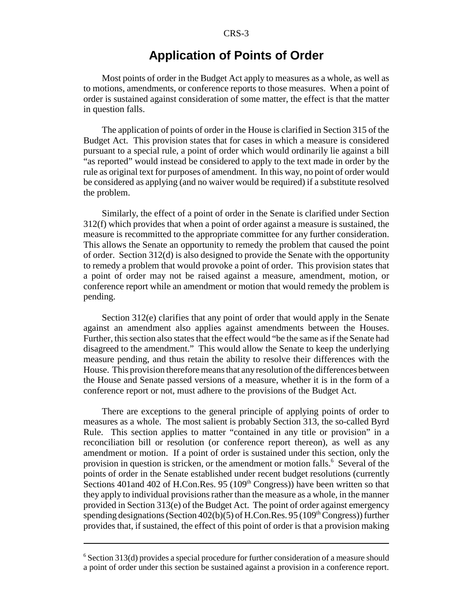### **Application of Points of Order**

Most points of order in the Budget Act apply to measures as a whole, as well as to motions, amendments, or conference reports to those measures. When a point of order is sustained against consideration of some matter, the effect is that the matter in question falls.

The application of points of order in the House is clarified in Section 315 of the Budget Act. This provision states that for cases in which a measure is considered pursuant to a special rule, a point of order which would ordinarily lie against a bill "as reported" would instead be considered to apply to the text made in order by the rule as original text for purposes of amendment. In this way, no point of order would be considered as applying (and no waiver would be required) if a substitute resolved the problem.

Similarly, the effect of a point of order in the Senate is clarified under Section 312(f) which provides that when a point of order against a measure is sustained, the measure is recommitted to the appropriate committee for any further consideration. This allows the Senate an opportunity to remedy the problem that caused the point of order. Section 312(d) is also designed to provide the Senate with the opportunity to remedy a problem that would provoke a point of order. This provision states that a point of order may not be raised against a measure, amendment, motion, or conference report while an amendment or motion that would remedy the problem is pending.

Section 312(e) clarifies that any point of order that would apply in the Senate against an amendment also applies against amendments between the Houses. Further, this section also states that the effect would "be the same as if the Senate had disagreed to the amendment." This would allow the Senate to keep the underlying measure pending, and thus retain the ability to resolve their differences with the House. This provision therefore means that any resolution of the differences between the House and Senate passed versions of a measure, whether it is in the form of a conference report or not, must adhere to the provisions of the Budget Act.

There are exceptions to the general principle of applying points of order to measures as a whole. The most salient is probably Section 313, the so-called Byrd Rule. This section applies to matter "contained in any title or provision" in a reconciliation bill or resolution (or conference report thereon), as well as any amendment or motion. If a point of order is sustained under this section, only the provision in question is stricken, or the amendment or motion falls.<sup>6</sup> Several of the points of order in the Senate established under recent budget resolutions (currently Sections 401 and 402 of H.Con.Res. 95 ( $109<sup>th</sup>$  Congress)) have been written so that they apply to individual provisions rather than the measure as a whole, in the manner provided in Section 313(e) of the Budget Act. The point of order against emergency spending designations (Section  $402(b)(5)$  of H.Con.Res. 95 (109<sup>th</sup> Congress)) further provides that, if sustained, the effect of this point of order is that a provision making

<sup>&</sup>lt;sup>6</sup> Section 313(d) provides a special procedure for further consideration of a measure should a point of order under this section be sustained against a provision in a conference report.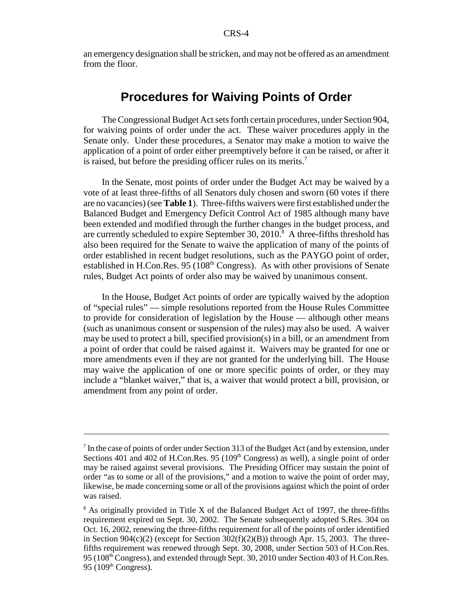an emergency designation shall be stricken, and may not be offered as an amendment from the floor.

## **Procedures for Waiving Points of Order**

The Congressional Budget Act sets forth certain procedures, under Section 904, for waiving points of order under the act. These waiver procedures apply in the Senate only. Under these procedures, a Senator may make a motion to waive the application of a point of order either preemptively before it can be raised, or after it is raised, but before the presiding officer rules on its merits.<sup>7</sup>

In the Senate, most points of order under the Budget Act may be waived by a vote of at least three-fifths of all Senators duly chosen and sworn (60 votes if there are no vacancies) (see **Table 1**). Three-fifths waivers were first established under the Balanced Budget and Emergency Deficit Control Act of 1985 although many have been extended and modified through the further changes in the budget process, and are currently scheduled to expire September 30,  $2010$ .<sup>8</sup> A three-fifths threshold has also been required for the Senate to waive the application of many of the points of order established in recent budget resolutions, such as the PAYGO point of order, established in H.Con.Res.  $95 \ (108<sup>th</sup> Congress)$ . As with other provisions of Senate rules, Budget Act points of order also may be waived by unanimous consent.

In the House, Budget Act points of order are typically waived by the adoption of "special rules" — simple resolutions reported from the House Rules Committee to provide for consideration of legislation by the House — although other means (such as unanimous consent or suspension of the rules) may also be used. A waiver may be used to protect a bill, specified provision(s) in a bill, or an amendment from a point of order that could be raised against it. Waivers may be granted for one or more amendments even if they are not granted for the underlying bill. The House may waive the application of one or more specific points of order, or they may include a "blanket waiver," that is, a waiver that would protect a bill, provision, or amendment from any point of order.

 $<sup>7</sup>$  In the case of points of order under Section 313 of the Budget Act (and by extension, under</sup> Sections 401 and 402 of H.Con.Res. 95 ( $109<sup>th</sup>$  Congress) as well), a single point of order may be raised against several provisions. The Presiding Officer may sustain the point of order "as to some or all of the provisions," and a motion to waive the point of order may, likewise, be made concerning some or all of the provisions against which the point of order was raised.

 $8$  As originally provided in Title X of the Balanced Budget Act of 1997, the three-fifths requirement expired on Sept. 30, 2002. The Senate subsequently adopted S.Res. 304 on Oct. 16, 2002, renewing the three-fifths requirement for all of the points of order identified in Section  $904(c)(2)$  (except for Section  $302(f)(2)(B)$ ) through Apr. 15, 2003. The threefifths requirement was renewed through Sept. 30, 2008, under Section 503 of H.Con.Res. 95 (108<sup>th</sup> Congress), and extended through Sept. 30, 2010 under Section 403 of H.Con.Res.  $95$  (109<sup>th</sup> Congress).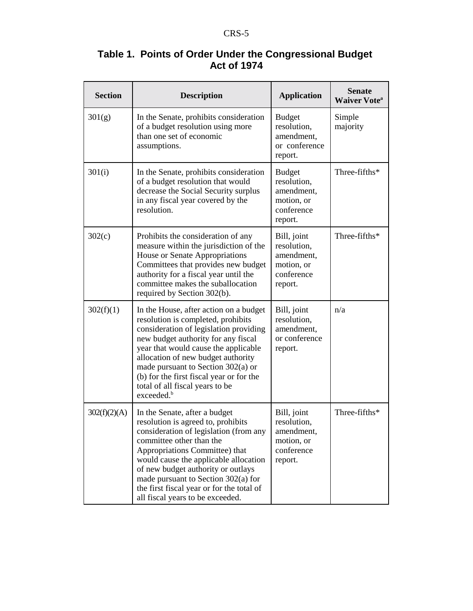#### **Table 1. Points of Order Under the Congressional Budget Act of 1974**

| <b>Section</b> | <b>Description</b>                                                                                                                                                                                                                                                                                                                                                                           | <b>Application</b>                                                                | <b>Senate</b><br><b>Waiver Vote</b> <sup>a</sup> |
|----------------|----------------------------------------------------------------------------------------------------------------------------------------------------------------------------------------------------------------------------------------------------------------------------------------------------------------------------------------------------------------------------------------------|-----------------------------------------------------------------------------------|--------------------------------------------------|
| 301(g)         | In the Senate, prohibits consideration<br>of a budget resolution using more<br>than one set of economic<br>assumptions.                                                                                                                                                                                                                                                                      | <b>Budget</b><br>resolution,<br>amendment,<br>or conference<br>report.            | Simple<br>majority                               |
| 301(i)         | In the Senate, prohibits consideration<br>of a budget resolution that would<br>decrease the Social Security surplus<br>in any fiscal year covered by the<br>resolution.                                                                                                                                                                                                                      | <b>Budget</b><br>resolution,<br>amendment,<br>motion, or<br>conference<br>report. | Three-fifths*                                    |
| 302(c)         | Prohibits the consideration of any<br>measure within the jurisdiction of the<br>House or Senate Appropriations<br>Committees that provides new budget<br>authority for a fiscal year until the<br>committee makes the suballocation<br>required by Section 302(b).                                                                                                                           | Bill, joint<br>resolution,<br>amendment,<br>motion, or<br>conference<br>report.   | Three-fifths*                                    |
| 302(f)(1)      | In the House, after action on a budget<br>resolution is completed, prohibits<br>consideration of legislation providing<br>new budget authority for any fiscal<br>year that would cause the applicable<br>allocation of new budget authority<br>made pursuant to Section $302(a)$ or<br>(b) for the first fiscal year or for the<br>total of all fiscal years to be<br>exceeded. <sup>b</sup> | Bill, joint<br>resolution,<br>amendment,<br>or conference<br>report.              | n/a                                              |
| 302(f)(2)(A)   | In the Senate, after a budget<br>resolution is agreed to, prohibits<br>consideration of legislation (from any<br>committee other than the<br>Appropriations Committee) that<br>would cause the applicable allocation<br>of new budget authority or outlays<br>made pursuant to Section $302(a)$ for<br>the first fiscal year or for the total of<br>all fiscal years to be exceeded.         | Bill, joint<br>resolution,<br>amendment,<br>motion, or<br>conference<br>report.   | Three-fifths*                                    |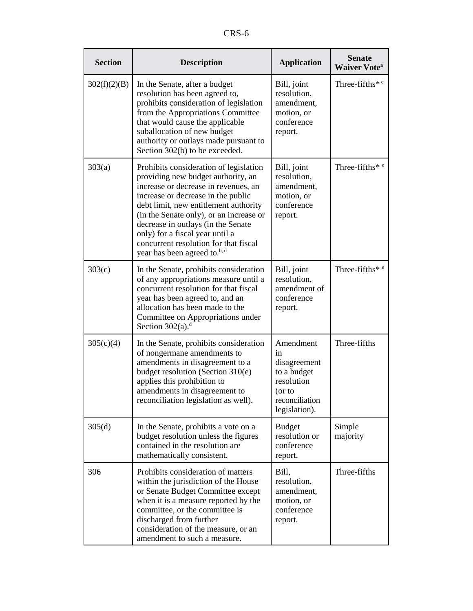| <b>Section</b> | <b>Description</b>                                                                                                                                                                                                                                                                                                                                                                                           | <b>Application</b>                                                                                        | <b>Senate</b><br><b>Waiver Vote</b> <sup>a</sup> |
|----------------|--------------------------------------------------------------------------------------------------------------------------------------------------------------------------------------------------------------------------------------------------------------------------------------------------------------------------------------------------------------------------------------------------------------|-----------------------------------------------------------------------------------------------------------|--------------------------------------------------|
| 302(f)(2)(B)   | In the Senate, after a budget<br>resolution has been agreed to,<br>prohibits consideration of legislation<br>from the Appropriations Committee<br>that would cause the applicable<br>suballocation of new budget<br>authority or outlays made pursuant to<br>Section 302(b) to be exceeded.                                                                                                                  | Bill, joint<br>resolution,<br>amendment,<br>motion, or<br>conference<br>report.                           | Three-fifths <sup>*c</sup>                       |
| 303(a)         | Prohibits consideration of legislation<br>providing new budget authority, an<br>increase or decrease in revenues, an<br>increase or decrease in the public<br>debt limit, new entitlement authority<br>(in the Senate only), or an increase or<br>decrease in outlays (in the Senate<br>only) for a fiscal year until a<br>concurrent resolution for that fiscal<br>year has been agreed to. <sup>b, d</sup> | Bill, joint<br>resolution,<br>amendment,<br>motion, or<br>conference<br>report.                           | Three-fifths* <sup>e</sup>                       |
| 303(c)         | In the Senate, prohibits consideration<br>of any appropriations measure until a<br>concurrent resolution for that fiscal<br>year has been agreed to, and an<br>allocation has been made to the<br>Committee on Appropriations under<br>Section $302(a)$ . <sup>d</sup>                                                                                                                                       | Bill, joint<br>resolution,<br>amendment of<br>conference<br>report.                                       | Three-fifths* <sup>e</sup>                       |
| 305(c)(4)      | In the Senate, prohibits consideration<br>of nongermane amendments to<br>amendments in disagreement to a<br>budget resolution (Section 310(e)<br>applies this prohibition to<br>amendments in disagreement to<br>reconciliation legislation as well).                                                                                                                                                        | Amendment<br>1n<br>disagreement<br>to a budget<br>resolution<br>(or to<br>reconciliation<br>legislation). | Three-fifths                                     |
| 305(d)         | In the Senate, prohibits a vote on a<br>budget resolution unless the figures<br>contained in the resolution are<br>mathematically consistent.                                                                                                                                                                                                                                                                | <b>Budget</b><br>resolution or<br>conference<br>report.                                                   | Simple<br>majority                               |
| 306            | Prohibits consideration of matters<br>within the jurisdiction of the House<br>or Senate Budget Committee except<br>when it is a measure reported by the<br>committee, or the committee is<br>discharged from further<br>consideration of the measure, or an<br>amendment to such a measure.                                                                                                                  | Bill,<br>resolution,<br>amendment,<br>motion, or<br>conference<br>report.                                 | Three-fifths                                     |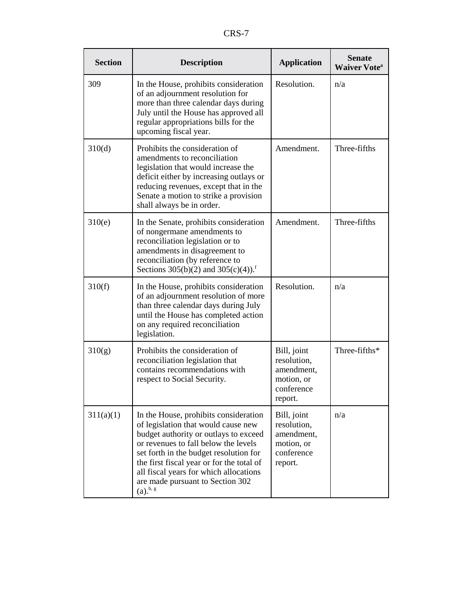| <b>Section</b> | <b>Description</b>                                                                                                                                                                                                                                                                                                                                  | <b>Application</b>                                                              | <b>Senate</b><br><b>Waiver Vote</b> <sup>a</sup> |
|----------------|-----------------------------------------------------------------------------------------------------------------------------------------------------------------------------------------------------------------------------------------------------------------------------------------------------------------------------------------------------|---------------------------------------------------------------------------------|--------------------------------------------------|
| 309            | In the House, prohibits consideration<br>of an adjournment resolution for<br>more than three calendar days during<br>July until the House has approved all<br>regular appropriations bills for the<br>upcoming fiscal year.                                                                                                                         | Resolution.                                                                     | n/a                                              |
| 310(d)         | Prohibits the consideration of<br>amendments to reconciliation<br>legislation that would increase the<br>deficit either by increasing outlays or<br>reducing revenues, except that in the<br>Senate a motion to strike a provision<br>shall always be in order.                                                                                     | Amendment.                                                                      | Three-fifths                                     |
| 310(e)         | In the Senate, prohibits consideration<br>of nongermane amendments to<br>reconciliation legislation or to<br>amendments in disagreement to<br>reconciliation (by reference to<br>Sections 305(b)(2) and 305(c)(4)). <sup>f</sup>                                                                                                                    | Amendment.                                                                      | Three-fifths                                     |
| 310(f)         | In the House, prohibits consideration<br>of an adjournment resolution of more<br>than three calendar days during July<br>until the House has completed action<br>on any required reconciliation<br>legislation.                                                                                                                                     | Resolution.                                                                     | n/a                                              |
| 310(g)         | Prohibits the consideration of<br>reconciliation legislation that<br>contains recommendations with<br>respect to Social Security.                                                                                                                                                                                                                   | Bill, joint<br>resolution,<br>amendment,<br>motion, or<br>conference<br>report. | Three-fifths*                                    |
| 311(a)(1)      | In the House, prohibits consideration<br>of legislation that would cause new<br>budget authority or outlays to exceed<br>or revenues to fall below the levels<br>set forth in the budget resolution for<br>the first fiscal year or for the total of<br>all fiscal years for which allocations<br>are made pursuant to Section 302<br>$(a).^{b, g}$ | Bill, joint<br>resolution,<br>amendment,<br>motion, or<br>conference<br>report. | n/a                                              |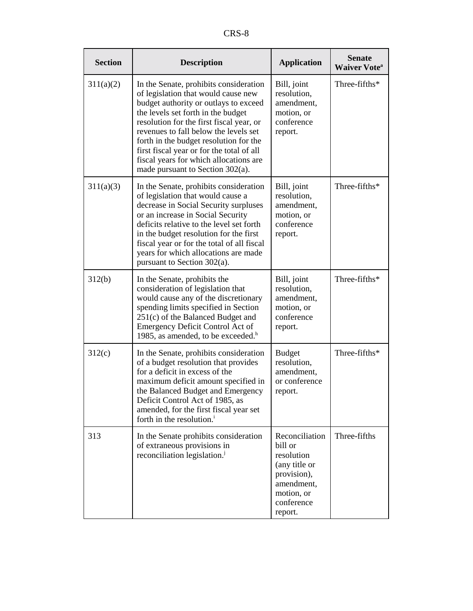| <b>Section</b> | <b>Description</b>                                                                                                                                                                                                                                                                                                                                                                                                        | <b>Application</b>                                                                                                           | <b>Senate</b><br><b>Waiver Vote</b> <sup>a</sup> |
|----------------|---------------------------------------------------------------------------------------------------------------------------------------------------------------------------------------------------------------------------------------------------------------------------------------------------------------------------------------------------------------------------------------------------------------------------|------------------------------------------------------------------------------------------------------------------------------|--------------------------------------------------|
| 311(a)(2)      | In the Senate, prohibits consideration<br>of legislation that would cause new<br>budget authority or outlays to exceed<br>the levels set forth in the budget<br>resolution for the first fiscal year, or<br>revenues to fall below the levels set<br>forth in the budget resolution for the<br>first fiscal year or for the total of all<br>fiscal years for which allocations are<br>made pursuant to Section $302(a)$ . | Bill, joint<br>resolution,<br>amendment,<br>motion, or<br>conference<br>report.                                              | Three-fifths*                                    |
| 311(a)(3)      | In the Senate, prohibits consideration<br>of legislation that would cause a<br>decrease in Social Security surpluses<br>or an increase in Social Security<br>deficits relative to the level set forth<br>in the budget resolution for the first<br>fiscal year or for the total of all fiscal<br>years for which allocations are made<br>pursuant to Section $302(a)$ .                                                   | Bill, joint<br>resolution,<br>amendment,<br>motion, or<br>conference<br>report.                                              | Three-fifths*                                    |
| 312(b)         | In the Senate, prohibits the<br>consideration of legislation that<br>would cause any of the discretionary<br>spending limits specified in Section<br>$251(c)$ of the Balanced Budget and<br>Emergency Deficit Control Act of<br>1985, as amended, to be exceeded. $h$                                                                                                                                                     | Bill, joint<br>resolution,<br>amendment,<br>motion, or<br>conference<br>report.                                              | Three-fifths*                                    |
| 312(c)         | In the Senate, prohibits consideration<br>of a budget resolution that provides<br>for a deficit in excess of the<br>maximum deficit amount specified in<br>the Balanced Budget and Emergency<br>Deficit Control Act of 1985, as<br>amended, for the first fiscal year set<br>forth in the resolution. <sup>1</sup>                                                                                                        | <b>Budget</b><br>resolution,<br>amendment,<br>or conference<br>report.                                                       | Three-fifths*                                    |
| 313            | In the Senate prohibits consideration<br>of extraneous provisions in<br>reconciliation legislation. <sup>j</sup>                                                                                                                                                                                                                                                                                                          | Reconciliation<br>bill or<br>resolution<br>(any title or<br>provision),<br>amendment,<br>motion, or<br>conference<br>report. | Three-fifths                                     |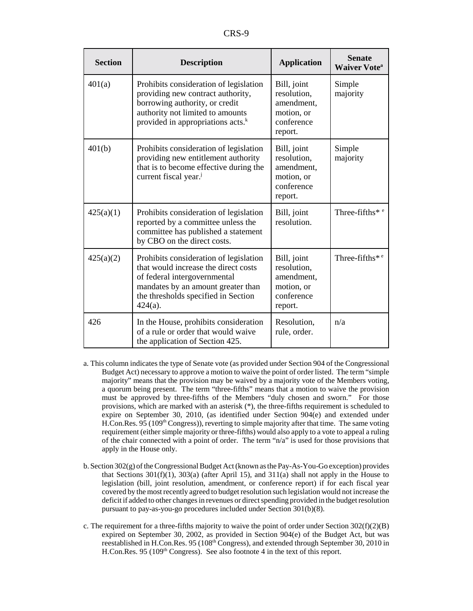| <b>Section</b> | <b>Description</b>                                                                                                                                                                                        | <b>Application</b>                                                              | <b>Senate</b><br><b>Waiver Vote</b> <sup>a</sup> |
|----------------|-----------------------------------------------------------------------------------------------------------------------------------------------------------------------------------------------------------|---------------------------------------------------------------------------------|--------------------------------------------------|
| 401(a)         | Prohibits consideration of legislation<br>providing new contract authority,<br>borrowing authority, or credit<br>authority not limited to amounts<br>provided in appropriations acts. <sup>k</sup>        | Bill, joint<br>resolution,<br>amendment,<br>motion, or<br>conference<br>report. | Simple<br>majority                               |
| 401(b)         | Prohibits consideration of legislation<br>providing new entitlement authority<br>that is to become effective during the<br>current fiscal year. <sup>j</sup>                                              | Bill, joint<br>resolution,<br>amendment,<br>motion, or<br>conference<br>report. | Simple<br>majority                               |
| 425(a)(1)      | Prohibits consideration of legislation<br>reported by a committee unless the<br>committee has published a statement<br>by CBO on the direct costs.                                                        | Bill, joint<br>resolution.                                                      | Three-fifths* <sup>e</sup>                       |
| 425(a)(2)      | Prohibits consideration of legislation<br>that would increase the direct costs<br>of federal intergovernmental<br>mandates by an amount greater than<br>the thresholds specified in Section<br>$424(a)$ . | Bill, joint<br>resolution,<br>amendment,<br>motion, or<br>conference<br>report. | Three-fifths <sup>*e</sup>                       |
| 426            | In the House, prohibits consideration<br>of a rule or order that would waive<br>the application of Section 425.                                                                                           | Resolution,<br>rule, order.                                                     | n/a                                              |

- a. This column indicates the type of Senate vote (as provided under Section 904 of the Congressional Budget Act) necessary to approve a motion to waive the point of order listed. The term "simple majority" means that the provision may be waived by a majority vote of the Members voting, a quorum being present. The term "three-fifths" means that a motion to waive the provision must be approved by three-fifths of the Members "duly chosen and sworn." For those provisions, which are marked with an asterisk (\*), the three-fifths requirement is scheduled to expire on September 30, 2010, (as identified under Section 904(e) and extended under H.Con.Res. 95 ( $109<sup>th</sup>$  Congress)), reverting to simple majority after that time. The same voting requirement (either simple majority or three-fifths) would also apply to a vote to appeal a ruling of the chair connected with a point of order. The term "n/a" is used for those provisions that apply in the House only.
- b. Section 302(g) of the Congressional Budget Act (known as the Pay-As-You-Go exception) provides that Sections 301(f)(1), 303(a) (after April 15), and 311(a) shall not apply in the House to legislation (bill, joint resolution, amendment, or conference report) if for each fiscal year covered by the most recently agreed to budget resolution such legislation would not increase the deficit if added to other changes in revenues or direct spending provided in the budget resolution pursuant to pay-as-you-go procedures included under Section 301(b)(8).
- c. The requirement for a three-fifths majority to waive the point of order under Section  $302(f)(2)(B)$ expired on September 30, 2002, as provided in Section 904(e) of the Budget Act, but was reestablished in H.Con.Res. 95 (108<sup>th</sup> Congress), and extended through September 30, 2010 in H.Con.Res. 95 (109<sup>th</sup> Congress). See also footnote 4 in the text of this report.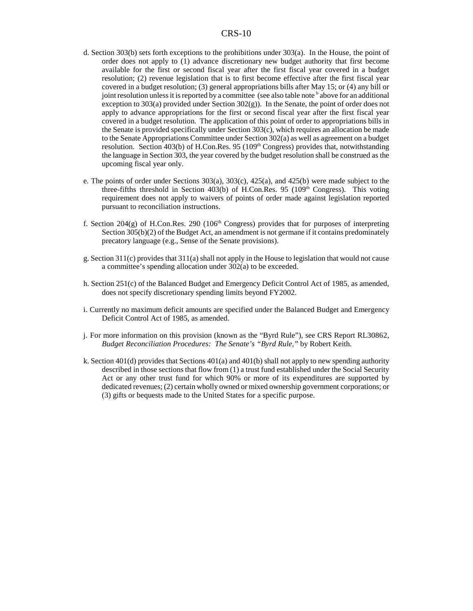- d. Section 303(b) sets forth exceptions to the prohibitions under 303(a). In the House, the point of order does not apply to (1) advance discretionary new budget authority that first become available for the first or second fiscal year after the first fiscal year covered in a budget resolution; (2) revenue legislation that is to first become effective after the first fiscal year covered in a budget resolution; (3) general appropriations bills after May 15; or (4) any bill or joint resolution unless it is reported by a committee (see also table note  $\overline{b}$  above for an additional exception to  $303(a)$  provided under Section  $302(g)$ ). In the Senate, the point of order does not apply to advance appropriations for the first or second fiscal year after the first fiscal year covered in a budget resolution. The application of this point of order to appropriations bills in the Senate is provided specifically under Section  $303(c)$ , which requires an allocation be made to the Senate Appropriations Committee under Section 302(a) as well as agreement on a budget resolution. Section 403(b) of H.Con.Res. 95 ( $109<sup>th</sup>$  Congress) provides that, notwithstanding the language in Section 303, the year covered by the budget resolution shall be construed as the upcoming fiscal year only.
- e. The points of order under Sections  $303(a)$ ,  $303(c)$ ,  $425(a)$ , and  $425(b)$  were made subject to the three-fifths threshold in Section 403(b) of H.Con.Res. 95 (109<sup>th</sup> Congress). This voting requirement does not apply to waivers of points of order made against legislation reported pursuant to reconciliation instructions.
- f. Section 204(g) of H.Con.Res. 290 (106<sup>th</sup> Congress) provides that for purposes of interpreting Section  $305(b)(2)$  of the Budget Act, an amendment is not germane if it contains predominately precatory language (e.g., Sense of the Senate provisions).
- g. Section 311(c) provides that 311(a) shall not apply in the House to legislation that would not cause a committee's spending allocation under 302(a) to be exceeded.
- h. Section 251(c) of the Balanced Budget and Emergency Deficit Control Act of 1985, as amended, does not specify discretionary spending limits beyond FY2002.
- i. Currently no maximum deficit amounts are specified under the Balanced Budget and Emergency Deficit Control Act of 1985, as amended.
- j. For more information on this provision (known as the "Byrd Rule"), see CRS Report RL30862, *Budget Reconciliation Procedures: The Senate's "Byrd Rule,"* by Robert Keith.
- k. Section 401(d) provides that Sections 401(a) and 401(b) shall not apply to new spending authority described in those sections that flow from (1) a trust fund established under the Social Security Act or any other trust fund for which 90% or more of its expenditures are supported by dedicated revenues; (2) certain wholly owned or mixed ownership government corporations; or (3) gifts or bequests made to the United States for a specific purpose.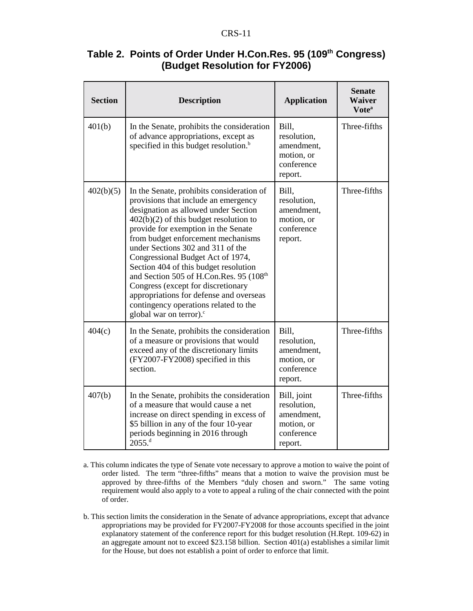| <b>Section</b> | <b>Description</b>                                                                                                                                                                                                                                                                                                                                                                                                                                                                                                                                                                | <b>Application</b>                                                              | <b>Senate</b><br><b>Waiver</b><br>Vote <sup>a</sup> |
|----------------|-----------------------------------------------------------------------------------------------------------------------------------------------------------------------------------------------------------------------------------------------------------------------------------------------------------------------------------------------------------------------------------------------------------------------------------------------------------------------------------------------------------------------------------------------------------------------------------|---------------------------------------------------------------------------------|-----------------------------------------------------|
| 401(b)         | In the Senate, prohibits the consideration<br>of advance appropriations, except as<br>specified in this budget resolution. <sup>b</sup>                                                                                                                                                                                                                                                                                                                                                                                                                                           | Bill,<br>resolution,<br>amendment,<br>motion, or<br>conference<br>report.       | Three-fifths                                        |
| 402(b)(5)      | In the Senate, prohibits consideration of<br>provisions that include an emergency<br>designation as allowed under Section<br>$402(b)(2)$ of this budget resolution to<br>provide for exemption in the Senate<br>from budget enforcement mechanisms<br>under Sections 302 and 311 of the<br>Congressional Budget Act of 1974,<br>Section 404 of this budget resolution<br>and Section 505 of H.Con.Res. 95 (108th<br>Congress (except for discretionary<br>appropriations for defense and overseas<br>contingency operations related to the<br>global war on terror). <sup>c</sup> | Bill,<br>resolution,<br>amendment,<br>motion, or<br>conference<br>report.       | Three-fifths                                        |
| 404(c)         | In the Senate, prohibits the consideration<br>of a measure or provisions that would<br>exceed any of the discretionary limits<br>(FY2007-FY2008) specified in this<br>section.                                                                                                                                                                                                                                                                                                                                                                                                    | Bill.<br>resolution,<br>amendment,<br>motion, or<br>conference<br>report.       | Three-fifths                                        |
| 407(b)         | In the Senate, prohibits the consideration<br>of a measure that would cause a net<br>increase on direct spending in excess of<br>\$5 billion in any of the four 10-year<br>periods beginning in 2016 through<br>$2055.^d$                                                                                                                                                                                                                                                                                                                                                         | Bill, joint<br>resolution,<br>amendment,<br>motion, or<br>conference<br>report. | Three-fifths                                        |

#### **Table 2. Points of Order Under H.Con.Res. 95 (109th Congress) (Budget Resolution for FY2006)**

- a. This column indicates the type of Senate vote necessary to approve a motion to waive the point of order listed. The term "three-fifths" means that a motion to waive the provision must be approved by three-fifths of the Members "duly chosen and sworn." The same voting requirement would also apply to a vote to appeal a ruling of the chair connected with the point of order.
- b. This section limits the consideration in the Senate of advance appropriations, except that advance appropriations may be provided for FY2007-FY2008 for those accounts specified in the joint explanatory statement of the conference report for this budget resolution (H.Rept. 109-62) in an aggregate amount not to exceed \$23.158 billion. Section 401(a) establishes a similar limit for the House, but does not establish a point of order to enforce that limit.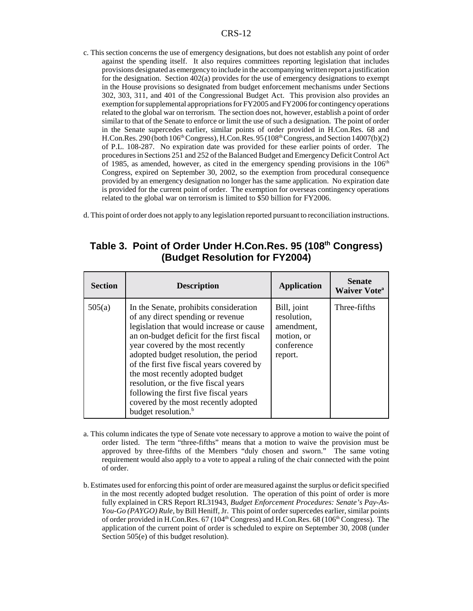c. This section concerns the use of emergency designations, but does not establish any point of order against the spending itself. It also requires committees reporting legislation that includes provisions designated as emergency to include in the accompanying written report a justification for the designation. Section  $402(a)$  provides for the use of emergency designations to exempt in the House provisions so designated from budget enforcement mechanisms under Sections 302, 303, 311, and 401 of the Congressional Budget Act. This provision also provides an exemption for supplemental appropriations for FY2005 and FY2006 for contingency operations related to the global war on terrorism. The section does not, however, establish a point of order similar to that of the Senate to enforce or limit the use of such a designation. The point of order in the Senate supercedes earlier, similar points of order provided in H.Con.Res. 68 and H.Con.Res. 290 (both  $106<sup>th</sup>$  Congress), H.Con.Res. 95 (108<sup>th</sup> Congress, and Section 14007(b)(2) of P.L. 108-287. No expiration date was provided for these earlier points of order. The procedures in Sections 251 and 252 of the Balanced Budget and Emergency Deficit Control Act of 1985, as amended, however, as cited in the emergency spending provisions in the  $106<sup>th</sup>$ Congress, expired on September 30, 2002, so the exemption from procedural consequence provided by an emergency designation no longer has the same application. No expiration date is provided for the current point of order. The exemption for overseas contingency operations related to the global war on terrorism is limited to \$50 billion for FY2006.

d. This point of order does not apply to any legislation reported pursuant to reconciliation instructions.

#### **Table 3. Point of Order Under H.Con.Res. 95 (108th Congress) (Budget Resolution for FY2004)**

| <b>Section</b> | <b>Description</b>                                                                                                                                                                                                                                                                                                                                                                                                                                                                              | <b>Application</b>                                                              | <b>Senate</b><br><b>Waiver Vote</b> <sup>a</sup> |
|----------------|-------------------------------------------------------------------------------------------------------------------------------------------------------------------------------------------------------------------------------------------------------------------------------------------------------------------------------------------------------------------------------------------------------------------------------------------------------------------------------------------------|---------------------------------------------------------------------------------|--------------------------------------------------|
| 505(a)         | In the Senate, prohibits consideration<br>of any direct spending or revenue<br>legislation that would increase or cause<br>an on-budget deficit for the first fiscal<br>year covered by the most recently<br>adopted budget resolution, the period<br>of the first five fiscal years covered by<br>the most recently adopted budget<br>resolution, or the five fiscal years<br>following the first five fiscal years<br>covered by the most recently adopted<br>budget resolution. <sup>b</sup> | Bill, joint<br>resolution,<br>amendment,<br>motion, or<br>conference<br>report. | Three-fifths                                     |

- a. This column indicates the type of Senate vote necessary to approve a motion to waive the point of order listed. The term "three-fifths" means that a motion to waive the provision must be approved by three-fifths of the Members "duly chosen and sworn." The same voting requirement would also apply to a vote to appeal a ruling of the chair connected with the point of order.
- b. Estimates used for enforcing this point of order are measured against the surplus or deficit specified in the most recently adopted budget resolution. The operation of this point of order is more fully explained in CRS Report RL31943, *Budget Enforcement Procedures: Senate's Pay-As-You-Go (PAYGO) Rule*, by Bill Heniff, Jr. This point of order supercedes earlier, similar points of order provided in H.Con.Res.  $67 (104<sup>th</sup> Congress)$  and H.Con.Res.  $68 (106<sup>th</sup> Congress)$ . The application of the current point of order is scheduled to expire on September 30, 2008 (under Section 505(e) of this budget resolution).